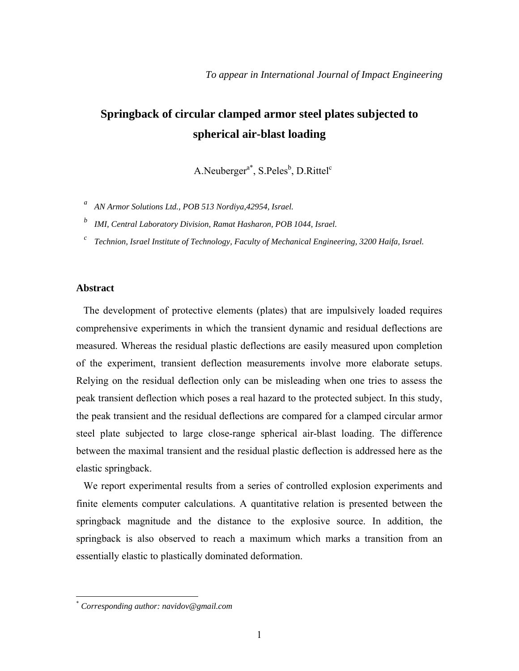# **Springback of circular clamped armor steel plates subjected to spherical air-blast loading**

A.Neuberger<sup>a\*</sup>, S.Peles<sup>b</sup>, D.Rittel<sup>c</sup>

*a AN Armor Solutions Ltd., POB 513 Nordiya,42954, Israel.* 

- *b IMI, Central Laboratory Division, Ramat Hasharon, POB 1044, Israel.*
- *<sup>c</sup> Technion, Israel Institute of Technology, Faculty of Mechanical Engineering, 3200 Haifa, Israel.*

# **Abstract**

The development of protective elements (plates) that are impulsively loaded requires comprehensive experiments in which the transient dynamic and residual deflections are measured. Whereas the residual plastic deflections are easily measured upon completion of the experiment, transient deflection measurements involve more elaborate setups. Relying on the residual deflection only can be misleading when one tries to assess the peak transient deflection which poses a real hazard to the protected subject. In this study, the peak transient and the residual deflections are compared for a clamped circular armor steel plate subjected to large close-range spherical air-blast loading. The difference between the maximal transient and the residual plastic deflection is addressed here as the elastic springback.

We report experimental results from a series of controlled explosion experiments and finite elements computer calculations. A quantitative relation is presented between the springback magnitude and the distance to the explosive source. In addition, the springback is also observed to reach a maximum which marks a transition from an essentially elastic to plastically dominated deformation.

 $\overline{a}$ 

<sup>\*</sup> *Corresponding author: navidov@gmail.com*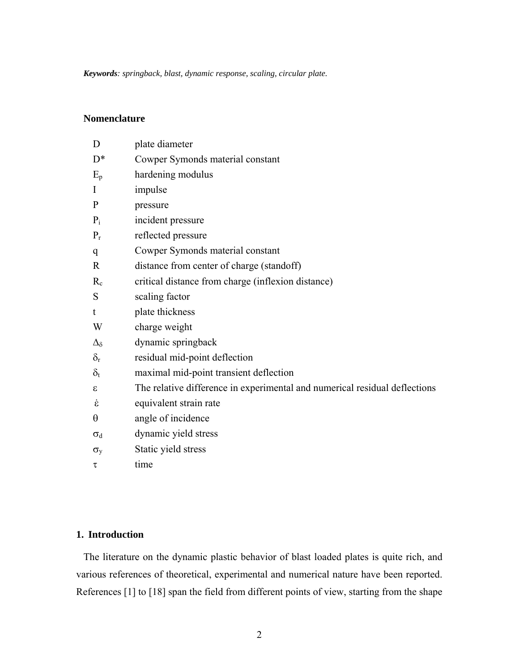*Keywords: springback, blast, dynamic response, scaling, circular plate.* 

# **Nomenclature**

| D                 | plate diameter                                                             |
|-------------------|----------------------------------------------------------------------------|
| $D^*$             | Cowper Symonds material constant                                           |
| $E_p$             | hardening modulus                                                          |
| $\bf{I}$          | impulse                                                                    |
| $\mathbf{P}$      | pressure                                                                   |
| $P_i$             | incident pressure                                                          |
| $P_r$             | reflected pressure                                                         |
| q                 | Cowper Symonds material constant                                           |
| $\mathbf R$       | distance from center of charge (standoff)                                  |
| $R_c$             | critical distance from charge (inflexion distance)                         |
| S                 | scaling factor                                                             |
| t                 | plate thickness                                                            |
| W                 | charge weight                                                              |
| $\Delta_{\delta}$ | dynamic springback                                                         |
| $\delta_{\rm r}$  | residual mid-point deflection                                              |
| $\delta_t$        | maximal mid-point transient deflection                                     |
| ε                 | The relative difference in experimental and numerical residual deflections |
| έ                 | equivalent strain rate                                                     |
| $\theta$          | angle of incidence                                                         |
| $\sigma_d$        | dynamic yield stress                                                       |
| $\sigma_{v}$      | Static yield stress                                                        |
| $\tau$            | time                                                                       |

# **1. Introduction**

The literature on the dynamic plastic behavior of blast loaded plates is quite rich, and various references of theoretical, experimental and numerical nature have been reported. References [1] to [18] span the field from different points of view, starting from the shape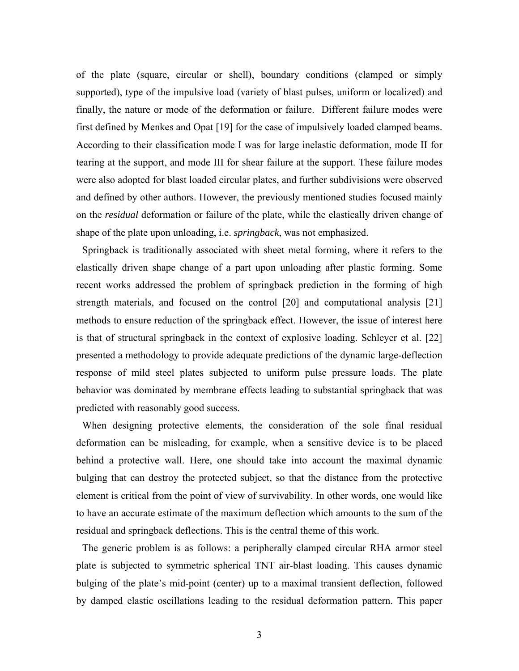of the plate (square, circular or shell), boundary conditions (clamped or simply supported), type of the impulsive load (variety of blast pulses, uniform or localized) and finally, the nature or mode of the deformation or failure. Different failure modes were first defined by Menkes and Opat [19] for the case of impulsively loaded clamped beams. According to their classification mode I was for large inelastic deformation, mode II for tearing at the support, and mode III for shear failure at the support. These failure modes were also adopted for blast loaded circular plates, and further subdivisions were observed and defined by other authors. However, the previously mentioned studies focused mainly on the *residual* deformation or failure of the plate, while the elastically driven change of shape of the plate upon unloading, i.e. *springback*, was not emphasized.

Springback is traditionally associated with sheet metal forming, where it refers to the elastically driven shape change of a part upon unloading after plastic forming. Some recent works addressed the problem of springback prediction in the forming of high strength materials, and focused on the control [20] and computational analysis [21] methods to ensure reduction of the springback effect. However, the issue of interest here is that of structural springback in the context of explosive loading. Schleyer et al. [22] presented a methodology to provide adequate predictions of the dynamic large-deflection response of mild steel plates subjected to uniform pulse pressure loads. The plate behavior was dominated by membrane effects leading to substantial springback that was predicted with reasonably good success.

When designing protective elements, the consideration of the sole final residual deformation can be misleading, for example, when a sensitive device is to be placed behind a protective wall. Here, one should take into account the maximal dynamic bulging that can destroy the protected subject, so that the distance from the protective element is critical from the point of view of survivability. In other words, one would like to have an accurate estimate of the maximum deflection which amounts to the sum of the residual and springback deflections. This is the central theme of this work.

The generic problem is as follows: a peripherally clamped circular RHA armor steel plate is subjected to symmetric spherical TNT air-blast loading. This causes dynamic bulging of the plate's mid-point (center) up to a maximal transient deflection, followed by damped elastic oscillations leading to the residual deformation pattern. This paper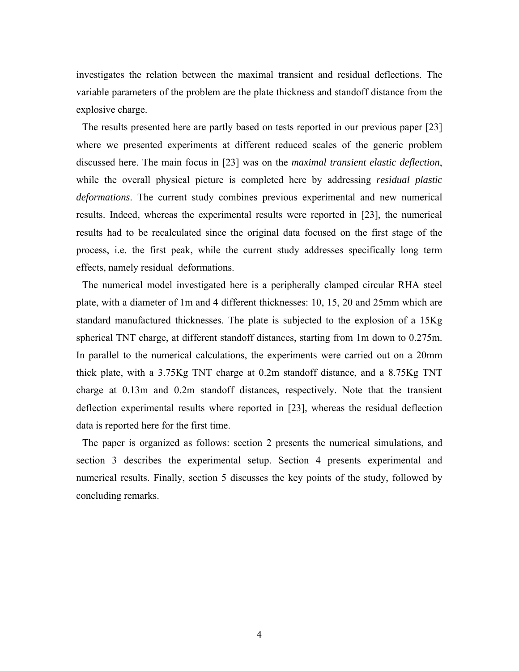investigates the relation between the maximal transient and residual deflections. The variable parameters of the problem are the plate thickness and standoff distance from the explosive charge.

The results presented here are partly based on tests reported in our previous paper [23] where we presented experiments at different reduced scales of the generic problem discussed here. The main focus in [23] was on the *maximal transient elastic deflection*, while the overall physical picture is completed here by addressing *residual plastic deformations*. The current study combines previous experimental and new numerical results. Indeed, whereas the experimental results were reported in [23], the numerical results had to be recalculated since the original data focused on the first stage of the process, i.e. the first peak, while the current study addresses specifically long term effects, namely residual deformations.

The numerical model investigated here is a peripherally clamped circular RHA steel plate, with a diameter of 1m and 4 different thicknesses: 10, 15, 20 and 25mm which are standard manufactured thicknesses. The plate is subjected to the explosion of a 15Kg spherical TNT charge, at different standoff distances, starting from 1m down to 0.275m. In parallel to the numerical calculations, the experiments were carried out on a 20mm thick plate, with a 3.75Kg TNT charge at 0.2m standoff distance, and a 8.75Kg TNT charge at 0.13m and 0.2m standoff distances, respectively. Note that the transient deflection experimental results where reported in [23], whereas the residual deflection data is reported here for the first time.

The paper is organized as follows: section 2 presents the numerical simulations, and section 3 describes the experimental setup. Section 4 presents experimental and numerical results. Finally, section 5 discusses the key points of the study, followed by concluding remarks.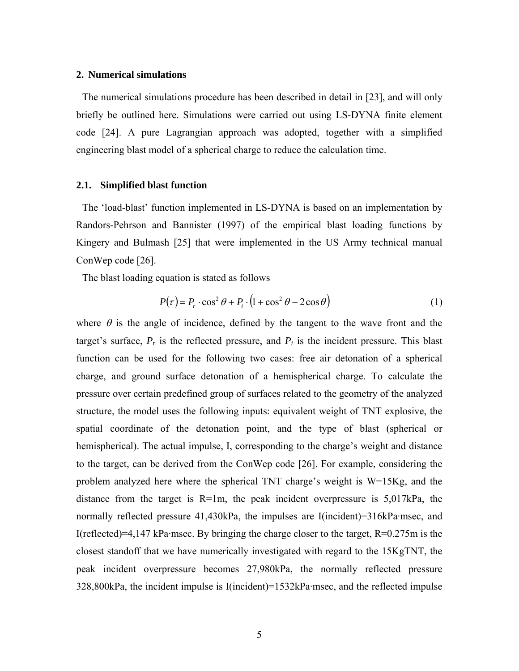#### **2. Numerical simulations**

The numerical simulations procedure has been described in detail in [23], and will only briefly be outlined here. Simulations were carried out using LS-DYNA finite element code [24]. A pure Lagrangian approach was adopted, together with a simplified engineering blast model of a spherical charge to reduce the calculation time.

#### **2.1. Simplified blast function**

The 'load-blast' function implemented in LS-DYNA is based on an implementation by Randors-Pehrson and Bannister (1997) of the empirical blast loading functions by Kingery and Bulmash [25] that were implemented in the US Army technical manual ConWep code [26].

The blast loading equation is stated as follows

$$
P(\tau) = P_r \cdot \cos^2 \theta + P_i \cdot (1 + \cos^2 \theta - 2\cos \theta)
$$
 (1)

where  $\theta$  is the angle of incidence, defined by the tangent to the wave front and the target's surface,  $P_r$  is the reflected pressure, and  $P_i$  is the incident pressure. This blast function can be used for the following two cases: free air detonation of a spherical charge, and ground surface detonation of a hemispherical charge. To calculate the pressure over certain predefined group of surfaces related to the geometry of the analyzed structure, the model uses the following inputs: equivalent weight of TNT explosive, the spatial coordinate of the detonation point, and the type of blast (spherical or hemispherical). The actual impulse, I, corresponding to the charge's weight and distance to the target, can be derived from the ConWep code [26]. For example, considering the problem analyzed here where the spherical TNT charge's weight is W=15Kg, and the distance from the target is  $R=1m$ , the peak incident overpressure is  $5,017kPa$ , the normally reflected pressure 41,430kPa, the impulses are I(incident)=316kPa·msec, and I(reflected)=4,147 kPa·msec. By bringing the charge closer to the target,  $R=0.275$ m is the closest standoff that we have numerically investigated with regard to the 15KgTNT, the peak incident overpressure becomes 27,980kPa, the normally reflected pressure 328,800kPa, the incident impulse is I(incident)=1532kPa·msec, and the reflected impulse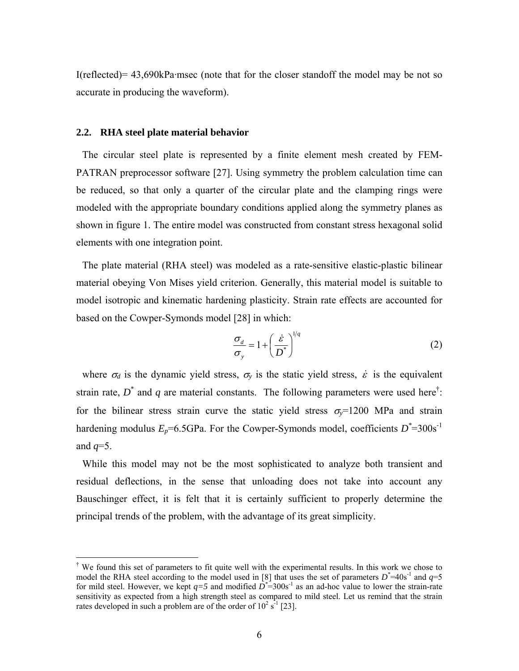I(reflected)= 43,690kPa·msec (note that for the closer standoff the model may be not so accurate in producing the waveform).

#### **2.2. RHA steel plate material behavior**

 $\overline{a}$ 

The circular steel plate is represented by a finite element mesh created by FEM-PATRAN preprocessor software [27]. Using symmetry the problem calculation time can be reduced, so that only a quarter of the circular plate and the clamping rings were modeled with the appropriate boundary conditions applied along the symmetry planes as shown in figure 1. The entire model was constructed from constant stress hexagonal solid elements with one integration point.

The plate material (RHA steel) was modeled as a rate-sensitive elastic-plastic bilinear material obeying Von Mises yield criterion. Generally, this material model is suitable to model isotropic and kinematic hardening plasticity. Strain rate effects are accounted for based on the Cowper-Symonds model [28] in which:

$$
\frac{\sigma_d}{\sigma_y} = 1 + \left(\frac{\dot{\varepsilon}}{D^*}\right)^{1/q} \tag{2}
$$

where  $\sigma_d$  is the dynamic yield stress,  $\sigma_v$  is the static yield stress,  $\dot{\varepsilon}$  is the equivalent strain rate,  $D^*$  and  $q$  are material constants. The following parameters were used here<sup>†</sup>: for the bilinear stress strain curve the static yield stress  $\sigma_{\rm v}$ =1200 MPa and strain hardening modulus  $E_p$ =6.5GPa. For the Cowper-Symonds model, coefficients  $D^*$ =300s<sup>-1</sup> and *q*=5.

While this model may not be the most sophisticated to analyze both transient and residual deflections, in the sense that unloading does not take into account any Bauschinger effect, it is felt that it is certainly sufficient to properly determine the principal trends of the problem, with the advantage of its great simplicity.

<sup>&</sup>lt;sup>†</sup> We found this set of parameters to fit quite well with the experimental results. In this work we chose to model the RHA steel according to the model used in [8] that uses the set of parameters  $D^* = 40s^{-1}$  and  $q = 5$ for mild steel. However, we kept  $q=5$  and modified  $D^*=300s^{-1}$  as an ad-hoc value to lower the strain-rate sensitivity as expected from a high strength steel as compared to mild steel. Let us remind that the strain rates developed in such a problem are of the order of  $10^2$  s<sup>-1</sup> [23].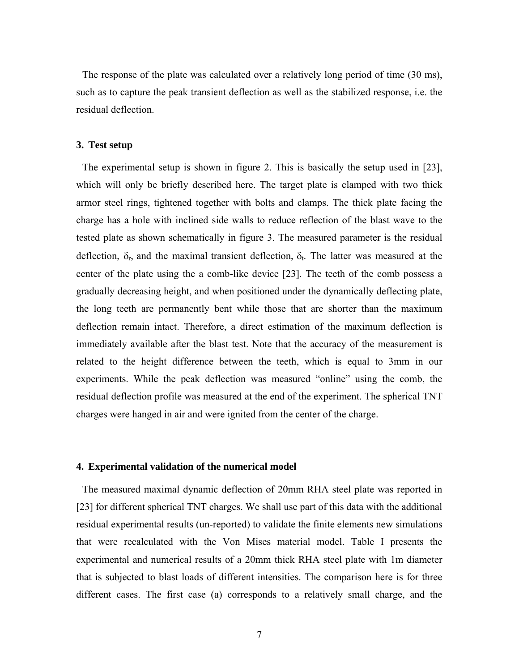The response of the plate was calculated over a relatively long period of time (30 ms), such as to capture the peak transient deflection as well as the stabilized response, i.e. the residual deflection.

# **3. Test setup**

The experimental setup is shown in figure 2. This is basically the setup used in [23], which will only be briefly described here. The target plate is clamped with two thick armor steel rings, tightened together with bolts and clamps. The thick plate facing the charge has a hole with inclined side walls to reduce reflection of the blast wave to the tested plate as shown schematically in figure 3. The measured parameter is the residual deflection,  $\delta_{r}$ , and the maximal transient deflection,  $\delta_{t}$ . The latter was measured at the center of the plate using the a comb-like device [23]. The teeth of the comb possess a gradually decreasing height, and when positioned under the dynamically deflecting plate, the long teeth are permanently bent while those that are shorter than the maximum deflection remain intact. Therefore, a direct estimation of the maximum deflection is immediately available after the blast test. Note that the accuracy of the measurement is related to the height difference between the teeth, which is equal to 3mm in our experiments. While the peak deflection was measured "online" using the comb, the residual deflection profile was measured at the end of the experiment. The spherical TNT charges were hanged in air and were ignited from the center of the charge.

# **4. Experimental validation of the numerical model**

The measured maximal dynamic deflection of 20mm RHA steel plate was reported in [23] for different spherical TNT charges. We shall use part of this data with the additional residual experimental results (un-reported) to validate the finite elements new simulations that were recalculated with the Von Mises material model. Table I presents the experimental and numerical results of a 20mm thick RHA steel plate with 1m diameter that is subjected to blast loads of different intensities. The comparison here is for three different cases. The first case (a) corresponds to a relatively small charge, and the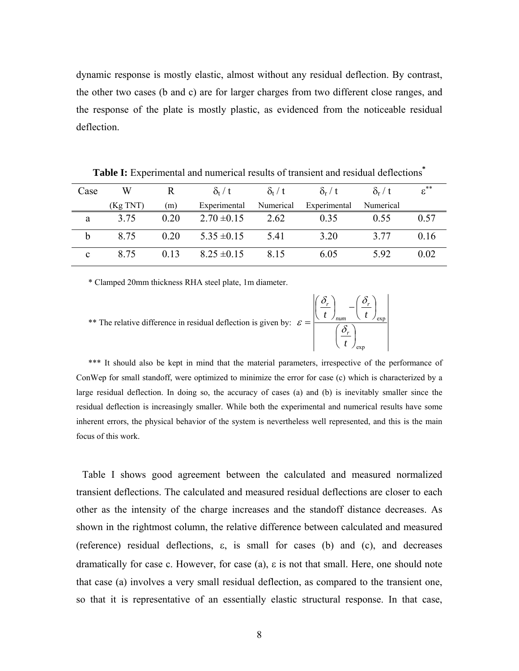dynamic response is mostly elastic, almost without any residual deflection. By contrast, the other two cases (b and c) are for larger charges from two different close ranges, and the response of the plate is mostly plastic, as evidenced from the noticeable residual deflection.

| Case        | W        |      | $\delta_{t}/t$  | $\delta_{\rm t}/t$ | $\delta_{\rm r}/t$ | $\delta_{\rm r}$ / t | $\varepsilon^{**}$ |
|-------------|----------|------|-----------------|--------------------|--------------------|----------------------|--------------------|
|             | (Kg TNT) | (m)  | Experimental    | Numerical          | Experimental       | Numerical            |                    |
| a           | 3.75     | 0.20 | $2.70 \pm 0.15$ | 2.62               | 0.35               | 0.55                 | 0.57               |
|             | 8.75     | 0.20 | $5.35 \pm 0.15$ | 541                | 3.20               | 3.77                 | 016                |
| $\mathbf c$ | 8.75     | 0.13 | $8.25 \pm 0.15$ | 8.15               | 6.05               | 5.92                 | 0.02               |

**Table I:** Experimental and numerical results of transient and residual deflections**\***

\* Clamped 20mm thickness RHA steel plate, 1m diameter.

\*\* The relative difference in residual deflection is given by:  $\varepsilon = \frac{|S \cdot P_{num}|}{|S \cdot S|}$ 

$$
= \frac{\left| \left(\frac{\delta_r}{t}\right)_{\text{num}} - \left(\frac{\delta_r}{t}\right)_{\text{exp}} \right|}{\left(\frac{\delta_r}{t}\right)_{\text{exp}}}
$$

\*\*\* It should also be kept in mind that the material parameters, irrespective of the performance of ConWep for small standoff, were optimized to minimize the error for case (c) which is characterized by a large residual deflection. In doing so, the accuracy of cases (a) and (b) is inevitably smaller since the residual deflection is increasingly smaller. While both the experimental and numerical results have some inherent errors, the physical behavior of the system is nevertheless well represented, and this is the main focus of this work.

Table I shows good agreement between the calculated and measured normalized transient deflections. The calculated and measured residual deflections are closer to each other as the intensity of the charge increases and the standoff distance decreases. As shown in the rightmost column, the relative difference between calculated and measured (reference) residual deflections, ε, is small for cases (b) and (c), and decreases dramatically for case c. However, for case (a), ε is not that small. Here, one should note that case (a) involves a very small residual deflection, as compared to the transient one, so that it is representative of an essentially elastic structural response. In that case,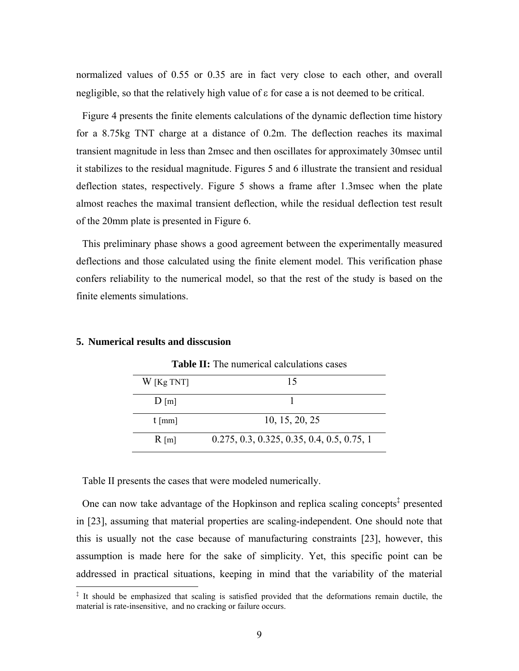normalized values of 0.55 or 0.35 are in fact very close to each other, and overall negligible, so that the relatively high value of ε for case a is not deemed to be critical.

Figure 4 presents the finite elements calculations of the dynamic deflection time history for a 8.75kg TNT charge at a distance of 0.2m. The deflection reaches its maximal transient magnitude in less than 2msec and then oscillates for approximately 30msec until it stabilizes to the residual magnitude. Figures 5 and 6 illustrate the transient and residual deflection states, respectively. Figure 5 shows a frame after 1.3msec when the plate almost reaches the maximal transient deflection, while the residual deflection test result of the 20mm plate is presented in Figure 6.

This preliminary phase shows a good agreement between the experimentally measured deflections and those calculated using the finite element model. This verification phase confers reliability to the numerical model, so that the rest of the study is based on the finite elements simulations.

| $W$ [Kg TNT] | 15                                         |
|--------------|--------------------------------------------|
| $D$ [m]      |                                            |
| $t$ [mm]     | 10, 15, 20, 25                             |
| $R$ [m]      | 0.275, 0.3, 0.325, 0.35, 0.4, 0.5, 0.75, 1 |

#### **5. Numerical results and disscusion**

**Table II:** The numerical calculations cases

Table II presents the cases that were modeled numerically.

One can now take advantage of the Hopkinson and replica scaling concepts<sup> $\ddagger$ </sup> presented in [23], assuming that material properties are scaling-independent. One should note that this is usually not the case because of manufacturing constraints [23], however, this assumption is made here for the sake of simplicity. Yet, this specific point can be addressed in practical situations, keeping in mind that the variability of the material

 ‡ It should be emphasized that scaling is satisfied provided that the deformations remain ductile, the material is rate-insensitive, and no cracking or failure occurs.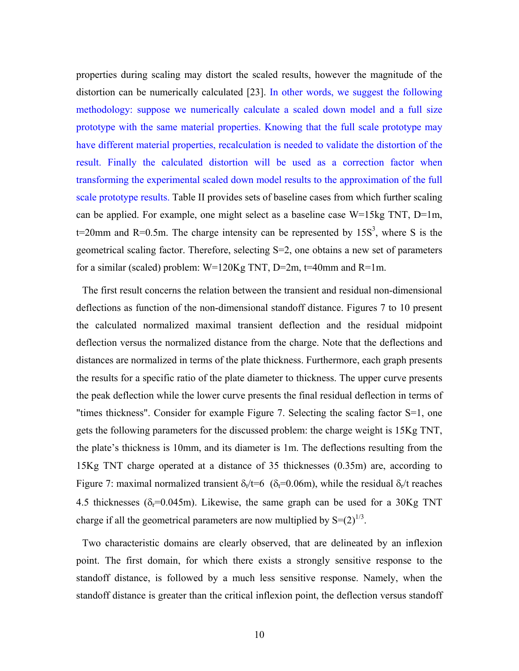properties during scaling may distort the scaled results, however the magnitude of the distortion can be numerically calculated [23]. In other words, we suggest the following methodology: suppose we numerically calculate a scaled down model and a full size prototype with the same material properties. Knowing that the full scale prototype may have different material properties, recalculation is needed to validate the distortion of the result. Finally the calculated distortion will be used as a correction factor when transforming the experimental scaled down model results to the approximation of the full scale prototype results. Table II provides sets of baseline cases from which further scaling can be applied. For example, one might select as a baseline case  $W=15kg$  TNT, D=1m,  $t=20$ mm and R=0.5m. The charge intensity can be represented by  $15S<sup>3</sup>$ , where S is the geometrical scaling factor. Therefore, selecting S=2, one obtains a new set of parameters for a similar (scaled) problem:  $W=120Kg$  TNT,  $D=2m$ ,  $t=40mm$  and  $R=1m$ .

The first result concerns the relation between the transient and residual non-dimensional deflections as function of the non-dimensional standoff distance. Figures 7 to 10 present the calculated normalized maximal transient deflection and the residual midpoint deflection versus the normalized distance from the charge. Note that the deflections and distances are normalized in terms of the plate thickness. Furthermore, each graph presents the results for a specific ratio of the plate diameter to thickness. The upper curve presents the peak deflection while the lower curve presents the final residual deflection in terms of "times thickness". Consider for example Figure 7. Selecting the scaling factor S=1, one gets the following parameters for the discussed problem: the charge weight is 15Kg TNT, the plate's thickness is 10mm, and its diameter is 1m. The deflections resulting from the 15Kg TNT charge operated at a distance of 35 thicknesses (0.35m) are, according to Figure 7: maximal normalized transient  $\delta_t$ /t=6 ( $\delta_t$ =0.06m), while the residual  $\delta_t$ /t reaches 4.5 thicknesses ( $\delta$ <sub>r</sub>=0.045m). Likewise, the same graph can be used for a 30Kg TNT charge if all the geometrical parameters are now multiplied by  $S=(2)^{1/3}$ .

Two characteristic domains are clearly observed, that are delineated by an inflexion point. The first domain, for which there exists a strongly sensitive response to the standoff distance, is followed by a much less sensitive response. Namely, when the standoff distance is greater than the critical inflexion point, the deflection versus standoff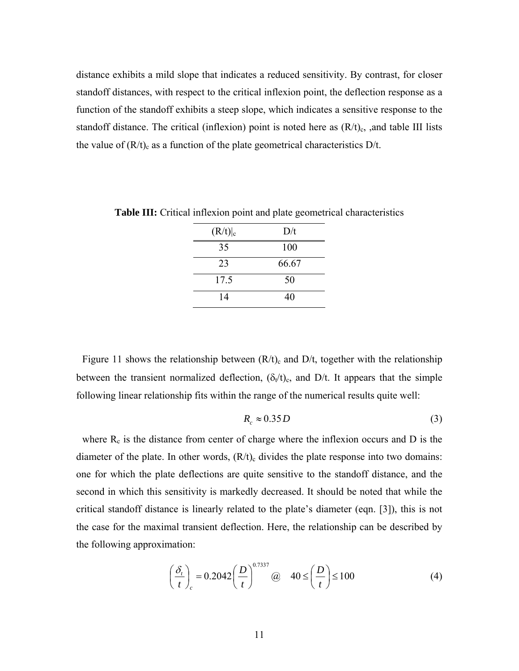distance exhibits a mild slope that indicates a reduced sensitivity. By contrast, for closer standoff distances, with respect to the critical inflexion point, the deflection response as a function of the standoff exhibits a steep slope, which indicates a sensitive response to the standoff distance. The critical (inflexion) point is noted here as  $(R/t)_{c}$ , and table III lists the value of  $(R/t)_c$  as a function of the plate geometrical characteristics  $D/t$ .

| $(R/t) _c$ | D/t   |
|------------|-------|
| 35         | 100   |
| 23         | 66.67 |
| 17.5       | 50    |
| 14         | 40    |

**Table III:** Critical inflexion point and plate geometrical characteristics

Figure 11 shows the relationship between  $(R/t)$ <sub>c</sub> and D/t, together with the relationship between the transient normalized deflection,  $(\delta_t/t)_c$ , and D/t. It appears that the simple following linear relationship fits within the range of the numerical results quite well:

$$
R_c \approx 0.35 D \tag{3}
$$

where  $R_c$  is the distance from center of charge where the inflexion occurs and D is the diameter of the plate. In other words,  $(R/t)$ <sub>c</sub> divides the plate response into two domains: one for which the plate deflections are quite sensitive to the standoff distance, and the second in which this sensitivity is markedly decreased. It should be noted that while the critical standoff distance is linearly related to the plate's diameter (eqn. [3]), this is not the case for the maximal transient deflection. Here, the relationship can be described by the following approximation:

$$
\left(\frac{\delta_t}{t}\right)_c = 0.2042 \left(\frac{D}{t}\right)^{0.7337} @. 40 \le \left(\frac{D}{t}\right) \le 100 \tag{4}
$$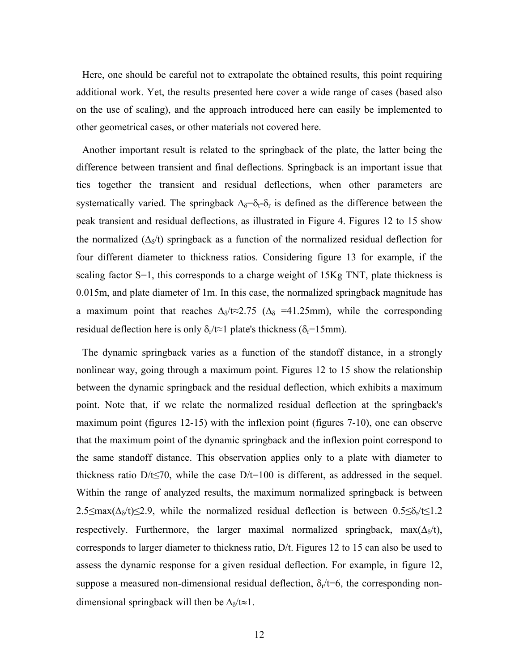Here, one should be careful not to extrapolate the obtained results, this point requiring additional work. Yet, the results presented here cover a wide range of cases (based also on the use of scaling), and the approach introduced here can easily be implemented to other geometrical cases, or other materials not covered here.

Another important result is related to the springback of the plate, the latter being the difference between transient and final deflections. Springback is an important issue that ties together the transient and residual deflections, when other parameters are systematically varied. The springback  $\Delta_{\delta} = \delta_{t} - \delta_{r}$  is defined as the difference between the peak transient and residual deflections, as illustrated in Figure 4. Figures 12 to 15 show the normalized  $(\Delta_{\delta}/t)$  springback as a function of the normalized residual deflection for four different diameter to thickness ratios. Considering figure 13 for example, if the scaling factor S=1, this corresponds to a charge weight of 15Kg TNT, plate thickness is 0.015m, and plate diameter of 1m. In this case, the normalized springback magnitude has a maximum point that reaches  $\Delta_{\delta}/t \approx 2.75$  ( $\Delta_{\delta}$  =41.25mm), while the corresponding residual deflection here is only  $\delta_r$ /t≈1 plate's thickness ( $\delta_r$ =15mm).

The dynamic springback varies as a function of the standoff distance, in a strongly nonlinear way, going through a maximum point. Figures 12 to 15 show the relationship between the dynamic springback and the residual deflection, which exhibits a maximum point. Note that, if we relate the normalized residual deflection at the springback's maximum point (figures 12-15) with the inflexion point (figures 7-10), one can observe that the maximum point of the dynamic springback and the inflexion point correspond to the same standoff distance. This observation applies only to a plate with diameter to thickness ratio  $D$ /t≤70, while the case  $D$ /t=100 is different, as addressed in the sequel. Within the range of analyzed results, the maximum normalized springback is between  $2.5 \leq max(\Delta_0/t) \leq 2.9$ , while the normalized residual deflection is between  $0.5 \leq \delta_r/t \leq 1.2$ respectively. Furthermore, the larger maximal normalized springback, max $(\Delta_{\delta}/t)$ , corresponds to larger diameter to thickness ratio, D/t. Figures 12 to 15 can also be used to assess the dynamic response for a given residual deflection. For example, in figure 12, suppose a measured non-dimensional residual deflection,  $\delta_r$ /t=6, the corresponding nondimensional springback will then be  $\Delta_{\delta}/t \approx 1$ .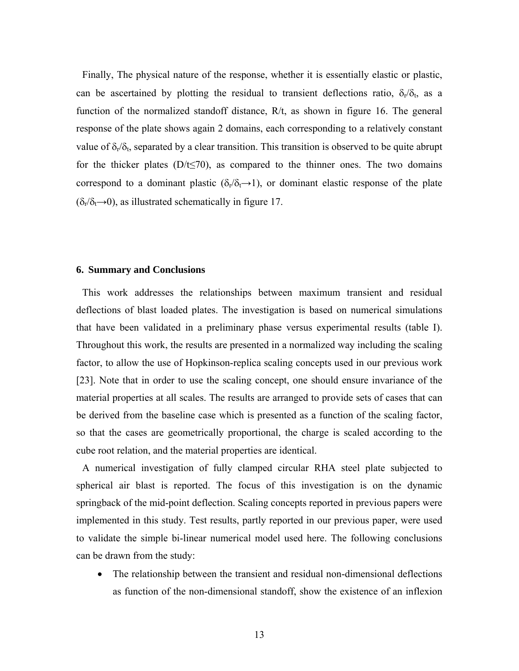Finally, The physical nature of the response, whether it is essentially elastic or plastic, can be ascertained by plotting the residual to transient deflections ratio,  $\delta_r/\delta_t$ , as a function of the normalized standoff distance, R/t, as shown in figure 16. The general response of the plate shows again 2 domains, each corresponding to a relatively constant value of  $\delta_r/\delta_t$ , separated by a clear transition. This transition is observed to be quite abrupt for the thicker plates  $(D/\leq 70)$ , as compared to the thinner ones. The two domains correspond to a dominant plastic ( $\delta_r/\delta_t \rightarrow 1$ ), or dominant elastic response of the plate  $(\delta_r/\delta_t \rightarrow 0)$ , as illustrated schematically in figure 17.

# **6. Summary and Conclusions**

This work addresses the relationships between maximum transient and residual deflections of blast loaded plates. The investigation is based on numerical simulations that have been validated in a preliminary phase versus experimental results (table I). Throughout this work, the results are presented in a normalized way including the scaling factor, to allow the use of Hopkinson-replica scaling concepts used in our previous work [23]. Note that in order to use the scaling concept, one should ensure invariance of the material properties at all scales. The results are arranged to provide sets of cases that can be derived from the baseline case which is presented as a function of the scaling factor, so that the cases are geometrically proportional, the charge is scaled according to the cube root relation, and the material properties are identical.

A numerical investigation of fully clamped circular RHA steel plate subjected to spherical air blast is reported. The focus of this investigation is on the dynamic springback of the mid-point deflection. Scaling concepts reported in previous papers were implemented in this study. Test results, partly reported in our previous paper, were used to validate the simple bi-linear numerical model used here. The following conclusions can be drawn from the study:

• The relationship between the transient and residual non-dimensional deflections as function of the non-dimensional standoff, show the existence of an inflexion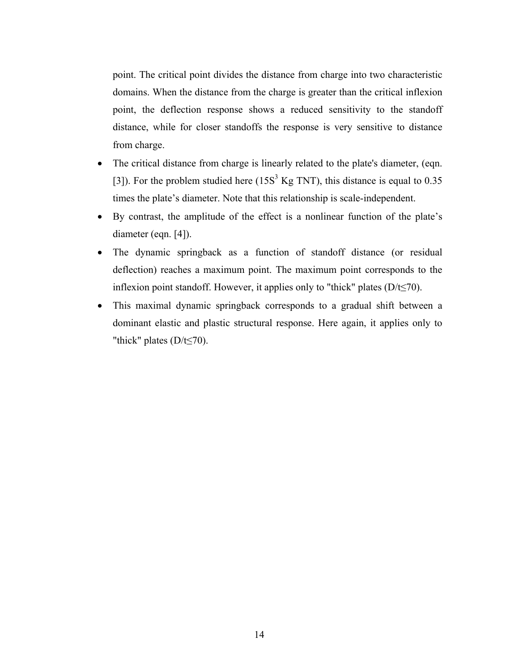point. The critical point divides the distance from charge into two characteristic domains. When the distance from the charge is greater than the critical inflexion point, the deflection response shows a reduced sensitivity to the standoff distance, while for closer standoffs the response is very sensitive to distance from charge.

- The critical distance from charge is linearly related to the plate's diameter, (eqn. [3]). For the problem studied here ( $15S<sup>3</sup>$  Kg TNT), this distance is equal to 0.35 times the plate's diameter. Note that this relationship is scale-independent.
- By contrast, the amplitude of the effect is a nonlinear function of the plate's diameter (eqn. [4]).
- The dynamic springback as a function of standoff distance (or residual deflection) reaches a maximum point. The maximum point corresponds to the inflexion point standoff. However, it applies only to "thick" plates  $(D/\text{t} \le 70)$ .
- This maximal dynamic springback corresponds to a gradual shift between a dominant elastic and plastic structural response. Here again, it applies only to "thick" plates  $(D/t \le 70)$ .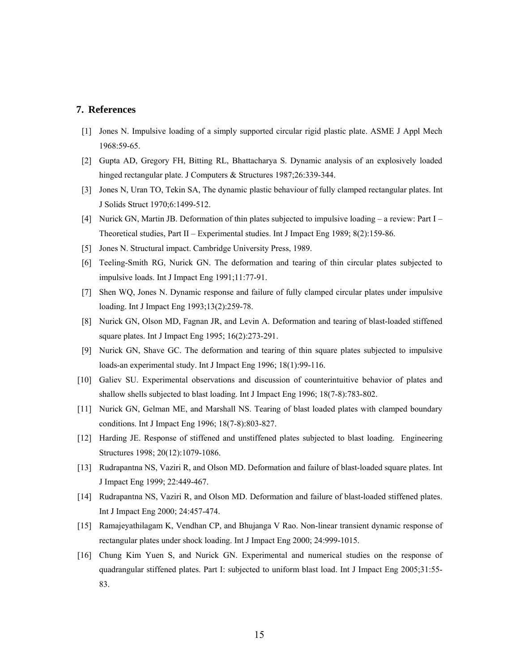#### **7. References**

- [1] Jones N. Impulsive loading of a simply supported circular rigid plastic plate. ASME J Appl Mech 1968:59-65.
- [2] Gupta AD, Gregory FH, Bitting RL, Bhattacharya S. Dynamic analysis of an explosively loaded hinged rectangular plate. J Computers & Structures 1987;26:339-344.
- [3] Jones N, Uran TO, Tekin SA, The dynamic plastic behaviour of fully clamped rectangular plates. Int J Solids Struct 1970;6:1499-512.
- [4] Nurick GN, Martin JB. Deformation of thin plates subjected to impulsive loading a review: Part I Theoretical studies, Part II – Experimental studies. Int J Impact Eng 1989; 8(2):159-86.
- [5] Jones N. Structural impact. Cambridge University Press, 1989.
- [6] Teeling-Smith RG, Nurick GN. The deformation and tearing of thin circular plates subjected to impulsive loads. Int J Impact Eng 1991;11:77-91.
- [7] Shen WQ, Jones N. Dynamic response and failure of fully clamped circular plates under impulsive loading. Int J Impact Eng 1993;13(2):259-78.
- [8] Nurick GN, Olson MD, Fagnan JR, and Levin A. Deformation and tearing of blast-loaded stiffened square plates. Int J Impact Eng 1995; 16(2):273-291.
- [9] Nurick GN, Shave GC. The deformation and tearing of thin square plates subjected to impulsive loads-an experimental study. Int J Impact Eng 1996; 18(1):99-116.
- [10] Galiev SU. Experimental observations and discussion of counterintuitive behavior of plates and shallow shells subjected to blast loading. Int J Impact Eng 1996; 18(7-8):783-802.
- [11] Nurick GN, Gelman ME, and Marshall NS. Tearing of blast loaded plates with clamped boundary conditions. Int J Impact Eng 1996; 18(7-8):803-827.
- [12] Harding JE. Response of stiffened and unstiffened plates subjected to blast loading. Engineering Structures 1998; 20(12):1079-1086.
- [13] Rudrapantna NS, Vaziri R, and Olson MD. Deformation and failure of blast-loaded square plates. Int J Impact Eng 1999; 22:449-467.
- [14] Rudrapantna NS, Vaziri R, and Olson MD. Deformation and failure of blast-loaded stiffened plates. Int J Impact Eng 2000; 24:457-474.
- [15] Ramajeyathilagam K, Vendhan CP, and Bhujanga V Rao. Non-linear transient dynamic response of rectangular plates under shock loading. Int J Impact Eng 2000; 24:999-1015.
- [16] Chung Kim Yuen S, and Nurick GN. Experimental and numerical studies on the response of quadrangular stiffened plates. Part I: subjected to uniform blast load. Int J Impact Eng 2005;31:55- 83.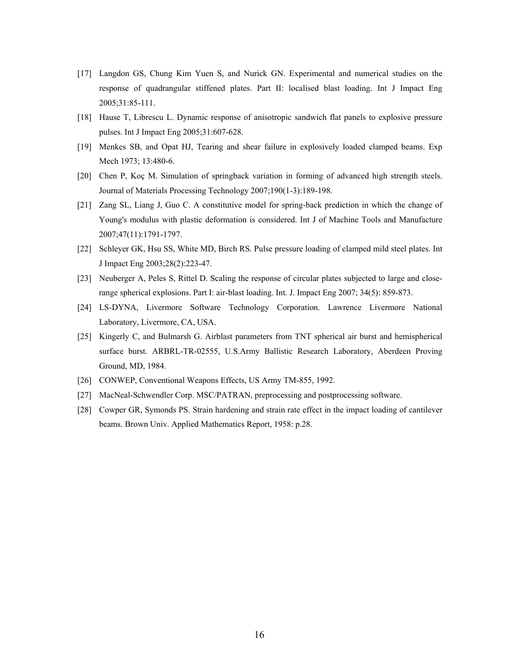- [17] Langdon GS, Chung Kim Yuen S, and Nurick GN. Experimental and numerical studies on the response of quadrangular stiffened plates. Part II: localised blast loading. Int J Impact Eng 2005;31:85-111.
- [18] Hause T, Librescu L. Dynamic response of anisotropic sandwich flat panels to explosive pressure pulses. Int J Impact Eng 2005;31:607-628.
- [19] Menkes SB, and Opat HJ, Tearing and shear failure in explosively loaded clamped beams. Exp Mech 1973; 13:480-6.
- [20] Chen P, Koç M. Simulation of springback variation in forming of advanced high strength steels. Journal of Materials Processing Technology 2007;190(1-3):189-198.
- [21] Zang SL, Liang J, Guo C. A constitutive model for spring-back prediction in which the change of Young's modulus with plastic deformation is considered. Int J of Machine Tools and Manufacture 2007;47(11):1791-1797.
- [22] Schleyer GK, Hsu SS, White MD, Birch RS. Pulse pressure loading of clamped mild steel plates. Int J Impact Eng 2003;28(2):223-47.
- [23] Neuberger A, Peles S, Rittel D. Scaling the response of circular plates subjected to large and closerange spherical explosions. Part I: air-blast loading. Int. J. Impact Eng 2007; 34(5): 859-873.
- [24] LS-DYNA, Livermore Software Technology Corporation. Lawrence Livermore National Laboratory, Livermore, CA, USA.
- [25] Kingerly C, and Bulmarsh G. Airblast parameters from TNT spherical air burst and hemispherical surface burst. ARBRL-TR-02555, U.S.Army Ballistic Research Laboratory, Aberdeen Proving Ground, MD, 1984.
- [26] CONWEP, Conventional Weapons Effects, US Army TM-855, 1992.
- [27] MacNeal-Schwendler Corp. MSC/PATRAN, preprocessing and postprocessing software.
- [28] Cowper GR, Symonds PS. Strain hardening and strain rate effect in the impact loading of cantilever beams. Brown Univ. Applied Mathematics Report, 1958: p.28.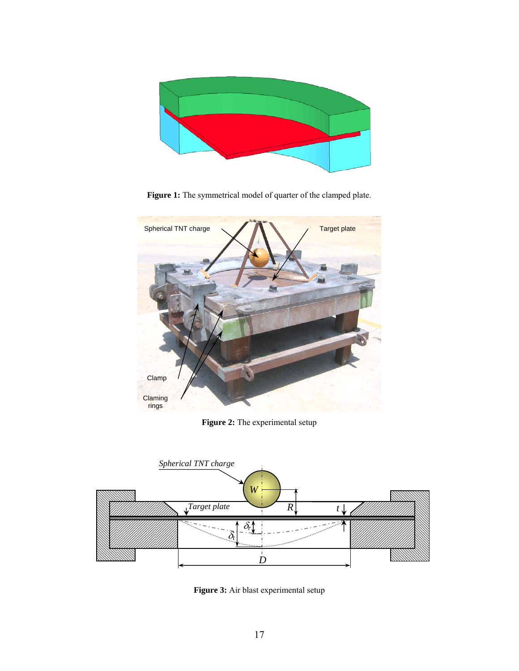

**Figure 1:** The symmetrical model of quarter of the clamped plate.



**Figure 2:** The experimental setup



**Figure 3:** Air blast experimental setup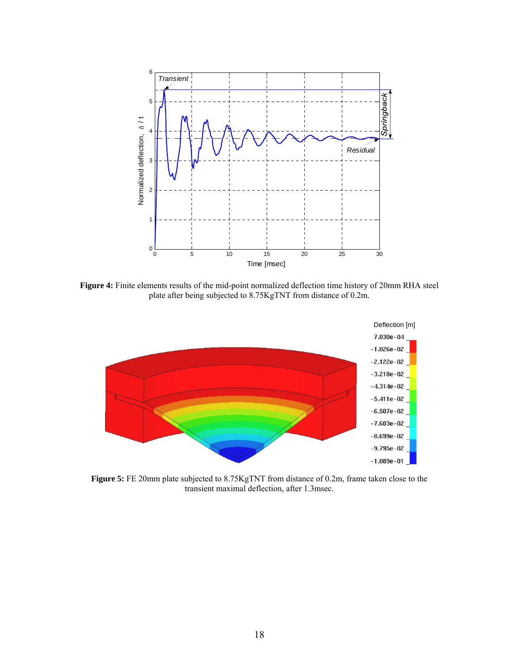

**Figure 4:** Finite elements results of the mid-point normalized deflection time history of 20mm RHA steel plate after being subjected to 8.75KgTNT from distance of 0.2m.



**Figure 5:** FE 20mm plate subjected to 8.75KgTNT from distance of 0.2m, frame taken close to the transient maximal deflection, after 1.3msec.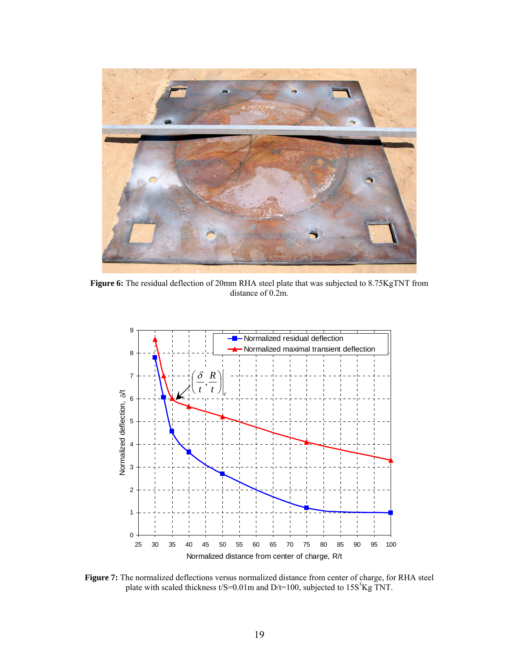

**Figure 6:** The residual deflection of 20mm RHA steel plate that was subjected to 8.75KgTNT from distance of 0.2m.



**Figure 7:** The normalized deflections versus normalized distance from center of charge, for RHA steel plate with scaled thickness  $t/S = 0.01$ m and  $D/t = 100$ , subjected to  $15S<sup>3</sup>$ Kg TNT.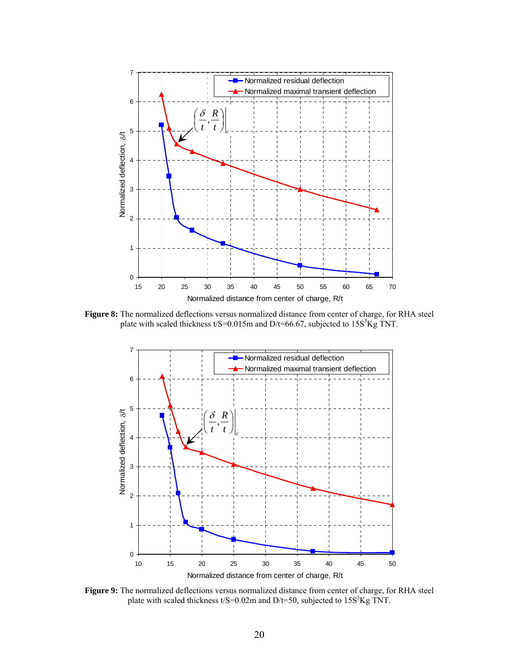

**Figure 8:** The normalized deflections versus normalized distance from center of charge, for RHA steel plate with scaled thickness  $t/S = 0.015$ m and D/t=66.67, subjected to  $15S<sup>3</sup>Kg$  TNT.



**Figure 9:** The normalized deflections versus normalized distance from center of charge, for RHA steel plate with scaled thickness  $t/S = 0.02$ m and  $D/t = 50$ , subjected to  $15S<sup>3</sup>Kg$  TNT.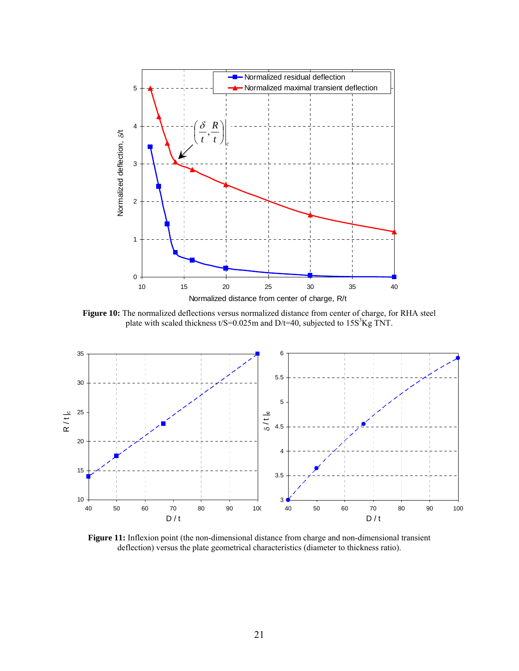

**Figure 10:** The normalized deflections versus normalized distance from center of charge, for RHA steel plate with scaled thickness t/S=0.025m and D/t=40, subjected to  $15S<sup>3</sup>Kg$  TNT.



**Figure 11:** Inflexion point (the non-dimensional distance from charge and non-dimensional transient deflection) versus the plate geometrical characteristics (diameter to thickness ratio).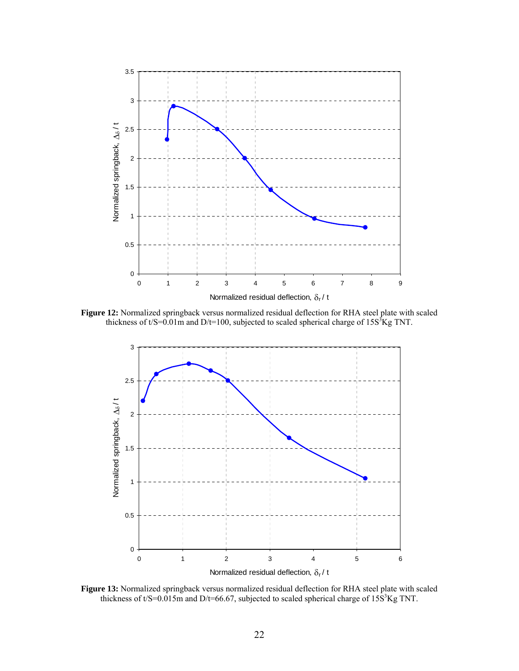

**Figure 12:** Normalized springback versus normalized residual deflection for RHA steel plate with scaled thickness of t/S=0.01m and D/t=100, subjected to scaled spherical charge of 15S<sup>3</sup>Kg TNT.



**Figure 13:** Normalized springback versus normalized residual deflection for RHA steel plate with scaled thickness of t/S=0.015m and D/t=66.67, subjected to scaled spherical charge of  $15\overline{S}^3$ Kg TNT.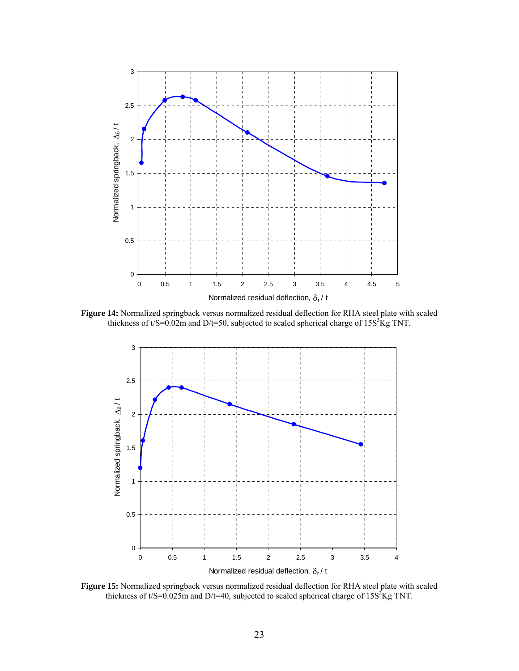

**Figure 14:** Normalized springback versus normalized residual deflection for RHA steel plate with scaled thickness of t/S=0.02m and D/t=50, subjected to scaled spherical charge of  $15S^{3}Kg$  TNT.



**Figure 15:** Normalized springback versus normalized residual deflection for RHA steel plate with scaled thickness of t/S=0.025m and D/t=40, subjected to scaled spherical charge of  $15S^3Kg$  TNT.